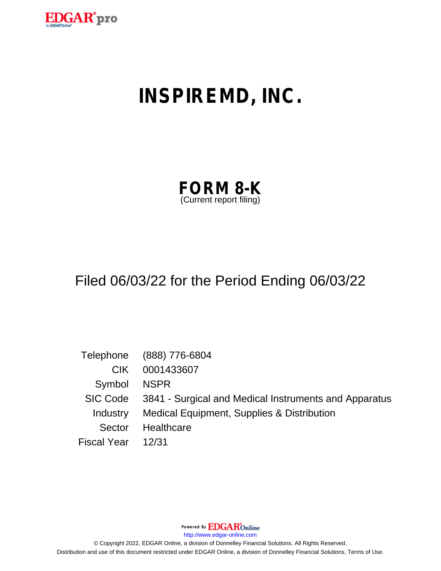

# **INSPIREMD, INC.**

| <b>FORM 8-K</b>         |  |
|-------------------------|--|
| (Current report filing) |  |

## Filed 06/03/22 for the Period Ending 06/03/22

|                    | Telephone (888) 776-6804                                       |
|--------------------|----------------------------------------------------------------|
| CIK.               | 0001433607                                                     |
| Symbol NSPR        |                                                                |
|                    | SIC Code 3841 - Surgical and Medical Instruments and Apparatus |
| Industry           | Medical Equipment, Supplies & Distribution                     |
| Sector             | Healthcare                                                     |
| Fiscal Year  12/31 |                                                                |

Powered By **EDGAR**Online

http://www.edgar-online.com

© Copyright 2022, EDGAR Online, a division of Donnelley Financial Solutions. All Rights Reserved. Distribution and use of this document restricted under EDGAR Online, a division of Donnelley Financial Solutions, Terms of Use.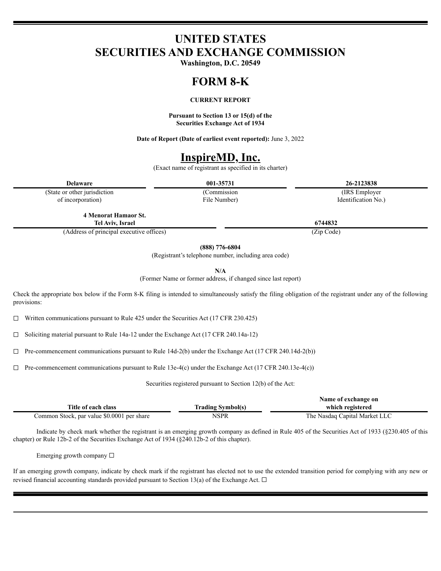## **UNITED STATES SECURITIES AND EXCHANGE COMMISSION**

Washington, D.C. 20549

## **FORM 8-K**

#### **CURRENT REPORT**

Pursuant to Section 13 or 15(d) of the **Securities Exchange Act of 1934** 

Date of Report (Date of earliest event reported): June 3, 2022

## **InspireMD, Inc.**

(Exact name of registrant as specified in its charter)

**Delaware** 

(State or other jurisdiction of incorporation)

001-35731 (Commission File Number)

26-2123838 (IRS Employer Identification No.)

**4 Menorat Hamaor St.** Tel Aviv, Israel

(Address of principal executive offices)

 $(888)$  776-6804

(Registrant's telephone number, including area code)

 $N/A$ 

(Former Name or former address, if changed since last report)

Check the appropriate box below if the Form 8-K filing is intended to simultaneously satisfy the filing obligation of the registrant under any of the following provisions:

Written communications pursuant to Rule 425 under the Securities Act (17 CFR 230.425)  $\Box$ 

Soliciting material pursuant to Rule 14a-12 under the Exchange Act (17 CFR 240.14a-12)  $\Box$ 

Pre-commencement communications pursuant to Rule 14d-2(b) under the Exchange Act (17 CFR 240.14d-2(b))  $\Box$ 

 $\Box$  Pre-commencement communications pursuant to Rule 13e-4(c) under the Exchange Act (17 CFR 240.13e-4(c))

Securities registered pursuant to Section 12(b) of the Act:

|                                            |                          | Name of exchange on           |
|--------------------------------------------|--------------------------|-------------------------------|
| Title of each class                        | <b>Trading Symbol(s)</b> | which registered              |
| Common Stock, par value \$0.0001 per share | NSPR                     | The Nasdaq Capital Market LLC |

Indicate by check mark whether the registrant is an emerging growth company as defined in Rule 405 of the Securities Act of 1933 (§230.405 of this chapter) or Rule 12b-2 of the Securities Exchange Act of 1934 (§240.12b-2 of this chapter).

Emerging growth company  $\square$ 

If an emerging growth company, indicate by check mark if the registrant has elected not to use the extended transition period for complying with any new or revised financial accounting standards provided pursuant to Section 13(a) of the Exchange Act.  $\Box$ 

6744832

(Zip Code)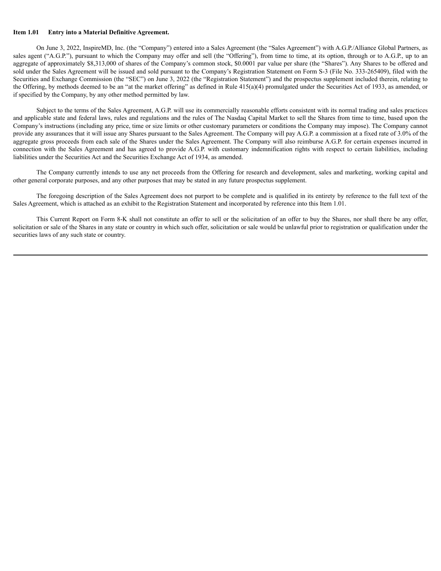#### **Item 1.01 Entry into a Material Definitive Agreement.**

On June 3, 2022, InspireMD, Inc. (the "Company") entered into a Sales Agreement (the "Sales Agreement") with A.G.P./Alliance Global Partners, as sales agent ("A.G.P."), pursuant to which the Company may offer and sell (the "Offering"), from time to time, at its option, through or to A.G.P., up to an aggregate of approximately \$8,313,000 of shares of the Company's common stock, \$0.0001 par value per share (the "Shares"). Any Shares to be offered and sold under the Sales Agreement will be issued and sold pursuant to the Company's Registration Statement on Form S-3 (File No. 333-265409), filed with the Securities and Exchange Commission (the "SEC") on June 3, 2022 (the "Registration Statement") and the prospectus supplement included therein, relating to the Offering, by methods deemed to be an "at the market offering" as defined in Rule 415(a)(4) promulgated under the Securities Act of 1933, as amended, or if specified by the Company, by any other method permitted by law.

Subject to the terms of the Sales Agreement, A.G.P. will use its commercially reasonable efforts consistent with its normal trading and sales practices and applicable state and federal laws, rules and regulations and the rules of The Nasdaq Capital Market to sell the Shares from time to time, based upon the Company's instructions (including any price, time or size limits or other customary parameters or conditions the Company may impose). The Company cannot provide any assurances that it will issue any Shares pursuant to the Sales Agreement. The Company will pay A.G.P. a commission at a fixed rate of 3.0% of the aggregate gross proceeds from each sale of the Shares under the Sales Agreement. The Company will also reimburse A.G.P. for certain expenses incurred in connection with the Sales Agreement and has agreed to provide A.G.P. with customary indemnification rights with respect to certain liabilities, including liabilities under the Securities Act and the Securities Exchange Act of 1934, as amended.

The Company currently intends to use any net proceeds from the Offering for research and development, sales and marketing, working capital and other general corporate purposes, and any other purposes that may be stated in any future prospectus supplement.

The foregoing description of the Sales Agreement does not purport to be complete and is qualified in its entirety by reference to the full text of the Sales Agreement, which is attached as an exhibit to the Registration Statement and incorporated by reference into this Item 1.01.

This Current Report on Form 8-K shall not constitute an offer to sell or the solicitation of an offer to buy the Shares, nor shall there be any offer, solicitation or sale of the Shares in any state or country in which such offer, solicitation or sale would be unlawful prior to registration or qualification under the securities laws of any such state or country.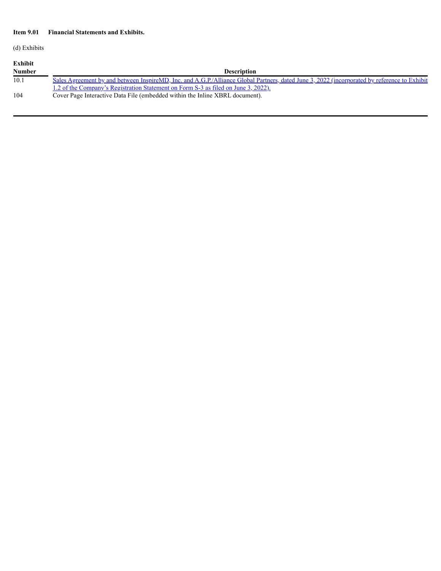### **Item 9.01 Financial Statements and Exhibits.**

(d) Exhibits

| Exhibit       |                                                                                                                                              |
|---------------|----------------------------------------------------------------------------------------------------------------------------------------------|
| <b>Number</b> | <b>Description</b>                                                                                                                           |
| 10.1          | Sales Agreement by and between InspireMD, Inc. and A.G.P./Alliance Global Partners, dated June 3, 2022 (incorporated by reference to Exhibit |
|               | 1.2 of the Company's Registration Statement on Form S-3 as filed on June 3, 2022).                                                           |
| 104           | Cover Page Interactive Data File (embedded within the Inline XBRL document).                                                                 |
|               |                                                                                                                                              |